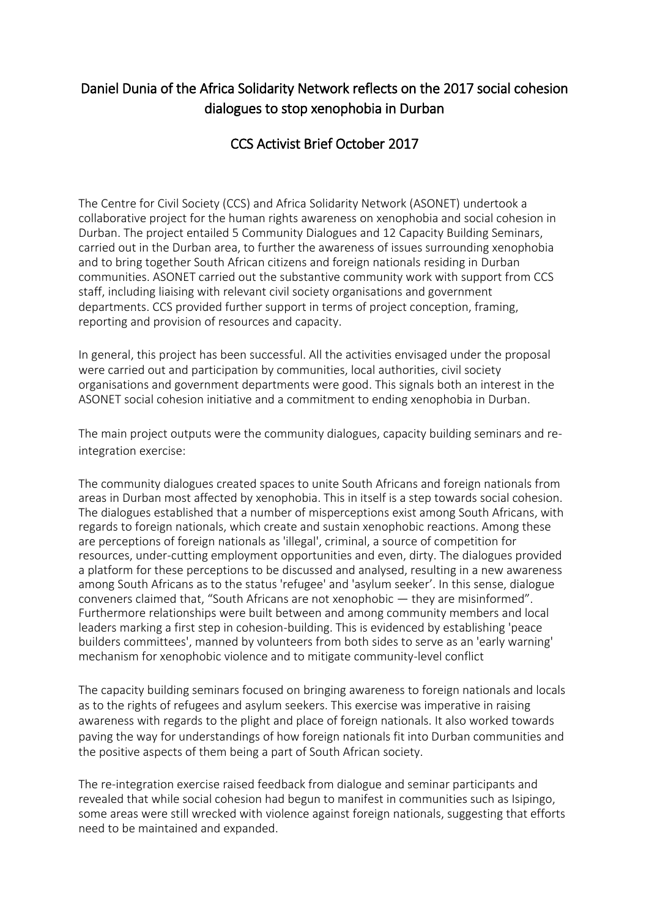## Daniel Dunia of the Africa Solidarity Network reflects on the 2017 social cohesion dialogues to stop xenophobia in Durban

## CCS Activist Brief October 2017

The Centre for Civil Society (CCS) and Africa Solidarity Network (ASONET) undertook a collaborative project for the human rights awareness on xenophobia and social cohesion in Durban. The project entailed 5 Community Dialogues and 12 Capacity Building Seminars, carried out in the Durban area, to further the awareness of issues surrounding xenophobia and to bring together South African citizens and foreign nationals residing in Durban communities. ASONET carried out the substantive community work with support from CCS staff, including liaising with relevant civil society organisations and government departments. CCS provided further support in terms of project conception, framing, reporting and provision of resources and capacity.

In general, this project has been successful. All the activities envisaged under the proposal were carried out and participation by communities, local authorities, civil society organisations and government departments were good. This signals both an interest in the ASONET social cohesion initiative and a commitment to ending xenophobia in Durban.

The main project outputs were the community dialogues, capacity building seminars and reintegration exercise:

The community dialogues created spaces to unite South Africans and foreign nationals from areas in Durban most affected by xenophobia. This in itself is a step towards social cohesion. The dialogues established that a number of misperceptions exist among South Africans, with regards to foreign nationals, which create and sustain xenophobic reactions. Among these are perceptions of foreign nationals as 'illegal', criminal, a source of competition for resources, under-cutting employment opportunities and even, dirty. The dialogues provided a platform for these perceptions to be discussed and analysed, resulting in a new awareness among South Africans as to the status 'refugee' and 'asylum seeker'. In this sense, dialogue conveners claimed that, "South Africans are not xenophobic — they are misinformed". Furthermore relationships were built between and among community members and local leaders marking a first step in cohesion-building. This is evidenced by establishing 'peace builders committees', manned by volunteers from both sides to serve as an 'early warning' mechanism for xenophobic violence and to mitigate community-level conflict

The capacity building seminars focused on bringing awareness to foreign nationals and locals as to the rights of refugees and asylum seekers. This exercise was imperative in raising awareness with regards to the plight and place of foreign nationals. It also worked towards paving the way for understandings of how foreign nationals fit into Durban communities and the positive aspects of them being a part of South African society.

The re-integration exercise raised feedback from dialogue and seminar participants and revealed that while social cohesion had begun to manifest in communities such as Isipingo, some areas were still wrecked with violence against foreign nationals, suggesting that efforts need to be maintained and expanded.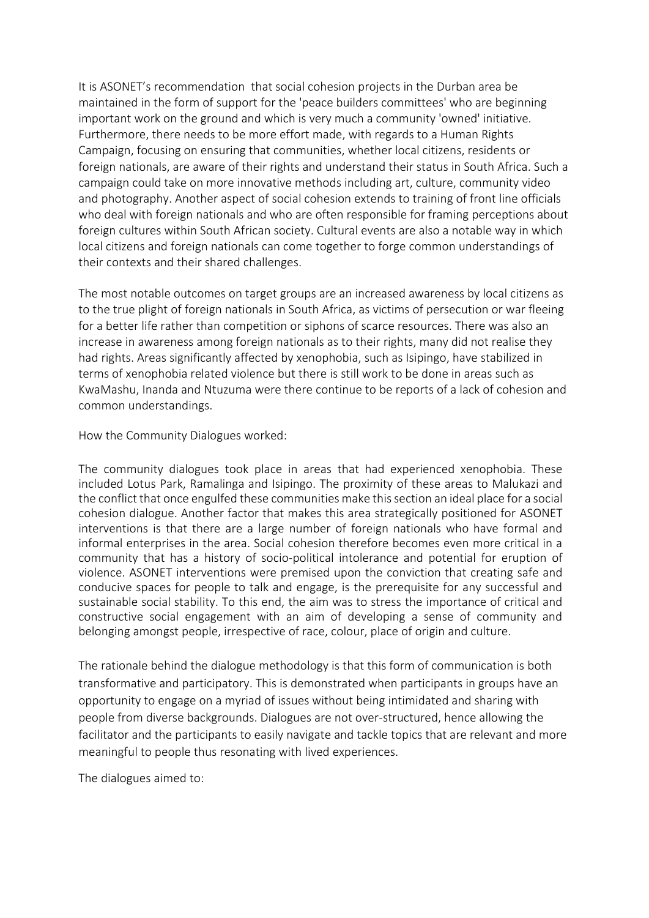It is ASONET's recommendation that social cohesion projects in the Durban area be maintained in the form of support for the 'peace builders committees' who are beginning important work on the ground and which is very much a community 'owned' initiative. Furthermore, there needs to be more effort made, with regards to a Human Rights Campaign, focusing on ensuring that communities, whether local citizens, residents or foreign nationals, are aware of their rights and understand their status in South Africa. Such a campaign could take on more innovative methods including art, culture, community video and photography. Another aspect of social cohesion extends to training of front line officials who deal with foreign nationals and who are often responsible for framing perceptions about foreign cultures within South African society. Cultural events are also a notable way in which local citizens and foreign nationals can come together to forge common understandings of their contexts and their shared challenges.

The most notable outcomes on target groups are an increased awareness by local citizens as to the true plight of foreign nationals in South Africa, as victims of persecution or war fleeing for a better life rather than competition or siphons of scarce resources. There was also an increase in awareness among foreign nationals as to their rights, many did not realise they had rights. Areas significantly affected by xenophobia, such as Isipingo, have stabilized in terms of xenophobia related violence but there is still work to be done in areas such as KwaMashu, Inanda and Ntuzuma were there continue to be reports of a lack of cohesion and common understandings.

How the Community Dialogues worked:

The community dialogues took place in areas that had experienced xenophobia. These included Lotus Park, Ramalinga and Isipingo. The proximity of these areas to Malukazi and the conflict that once engulfed these communities make this section an ideal place for a social cohesion dialogue. Another factor that makes this area strategically positioned for ASONET interventions is that there are a large number of foreign nationals who have formal and informal enterprises in the area. Social cohesion therefore becomes even more critical in a community that has a history of socio-political intolerance and potential for eruption of violence. ASONET interventions were premised upon the conviction that creating safe and conducive spaces for people to talk and engage, is the prerequisite for any successful and sustainable social stability. To this end, the aim was to stress the importance of critical and constructive social engagement with an aim of developing a sense of community and belonging amongst people, irrespective of race, colour, place of origin and culture.

The rationale behind the dialogue methodology is that this form of communication is both transformative and participatory. This is demonstrated when participants in groups have an opportunity to engage on a myriad of issues without being intimidated and sharing with people from diverse backgrounds. Dialogues are not over-structured, hence allowing the facilitator and the participants to easily navigate and tackle topics that are relevant and more meaningful to people thus resonating with lived experiences.

The dialogues aimed to: